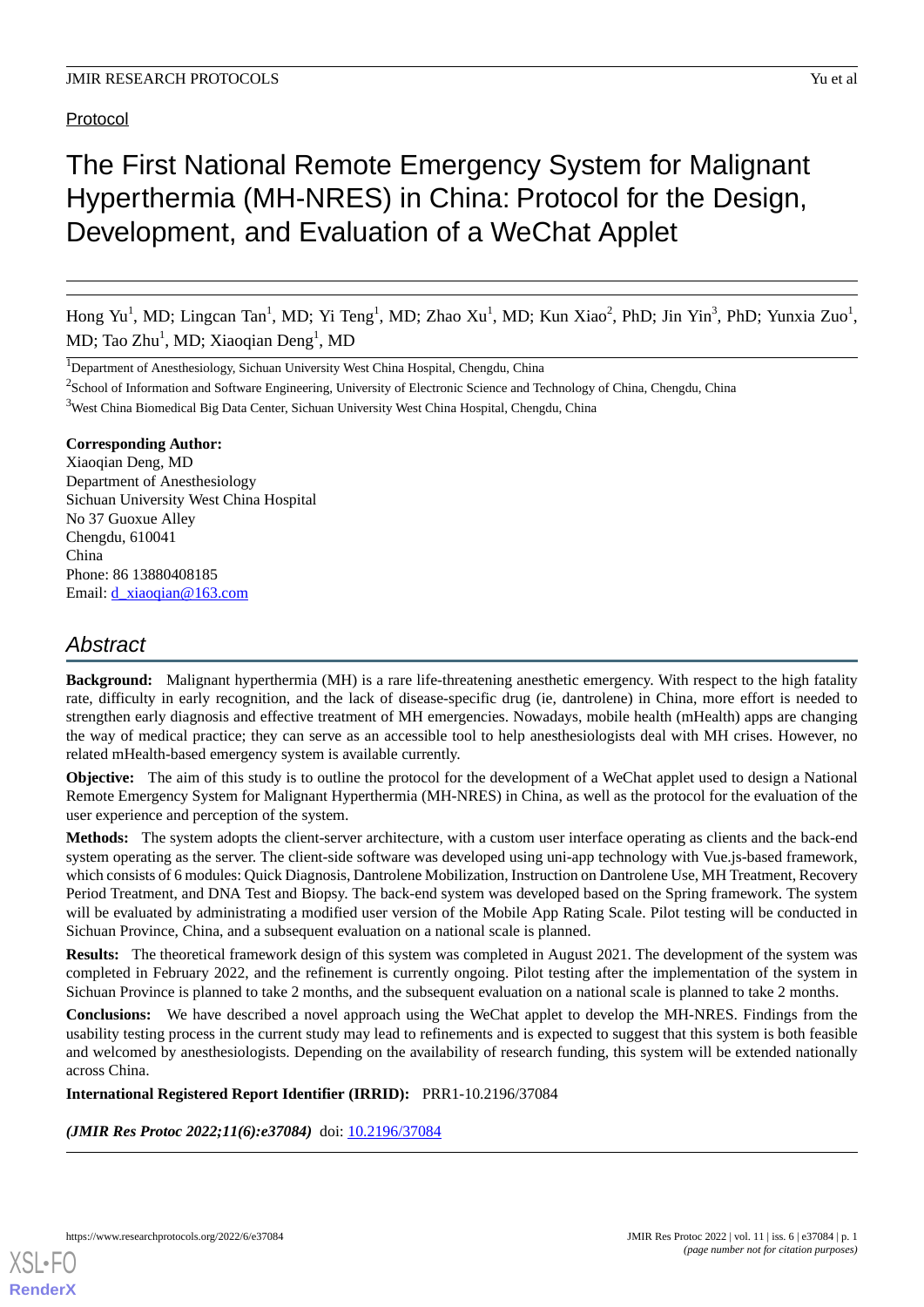## Protocol

# The First National Remote Emergency System for Malignant Hyperthermia (MH-NRES) in China: Protocol for the Design, Development, and Evaluation of a WeChat Applet

Hong Yu<sup>1</sup>, MD; Lingcan Tan<sup>1</sup>, MD; Yi Teng<sup>1</sup>, MD; Zhao Xu<sup>1</sup>, MD; Kun Xiao<sup>2</sup>, PhD; Jin Yin<sup>3</sup>, PhD; Yunxia Zuo<sup>1</sup>, MD; Tao Zhu<sup>1</sup>, MD; Xiaoqian Deng<sup>1</sup>, MD

<sup>1</sup>Department of Anesthesiology, Sichuan University West China Hospital, Chengdu, China

 $2$ School of Information and Software Engineering, University of Electronic Science and Technology of China, Chengdu, China

<sup>3</sup>West China Biomedical Big Data Center, Sichuan University West China Hospital, Chengdu, China

#### **Corresponding Author:**

Xiaoqian Deng, MD Department of Anesthesiology Sichuan University West China Hospital No 37 Guoxue Alley Chengdu, 610041 China Phone: 86 13880408185 Email: *[d\\_xiaoqian@163.com](mailto:d_xiaoqian@163.com)* 

# *Abstract*

**Background:** Malignant hyperthermia (MH) is a rare life-threatening anesthetic emergency. With respect to the high fatality rate, difficulty in early recognition, and the lack of disease-specific drug (ie, dantrolene) in China, more effort is needed to strengthen early diagnosis and effective treatment of MH emergencies. Nowadays, mobile health (mHealth) apps are changing the way of medical practice; they can serve as an accessible tool to help anesthesiologists deal with MH crises. However, no related mHealth-based emergency system is available currently.

**Objective:** The aim of this study is to outline the protocol for the development of a WeChat applet used to design a National Remote Emergency System for Malignant Hyperthermia (MH-NRES) in China, as well as the protocol for the evaluation of the user experience and perception of the system.

**Methods:** The system adopts the client-server architecture, with a custom user interface operating as clients and the back-end system operating as the server. The client-side software was developed using uni-app technology with Vue.js-based framework, which consists of 6 modules: Quick Diagnosis, Dantrolene Mobilization, Instruction on Dantrolene Use, MH Treatment, Recovery Period Treatment, and DNA Test and Biopsy. The back-end system was developed based on the Spring framework. The system will be evaluated by administrating a modified user version of the Mobile App Rating Scale. Pilot testing will be conducted in Sichuan Province, China, and a subsequent evaluation on a national scale is planned.

**Results:** The theoretical framework design of this system was completed in August 2021. The development of the system was completed in February 2022, and the refinement is currently ongoing. Pilot testing after the implementation of the system in Sichuan Province is planned to take 2 months, and the subsequent evaluation on a national scale is planned to take 2 months.

**Conclusions:** We have described a novel approach using the WeChat applet to develop the MH-NRES. Findings from the usability testing process in the current study may lead to refinements and is expected to suggest that this system is both feasible and welcomed by anesthesiologists. Depending on the availability of research funding, this system will be extended nationally across China.

#### **International Registered Report Identifier (IRRID):** PRR1-10.2196/37084

*(JMIR Res Protoc 2022;11(6):e37084)* doi: [10.2196/37084](http://dx.doi.org/10.2196/37084)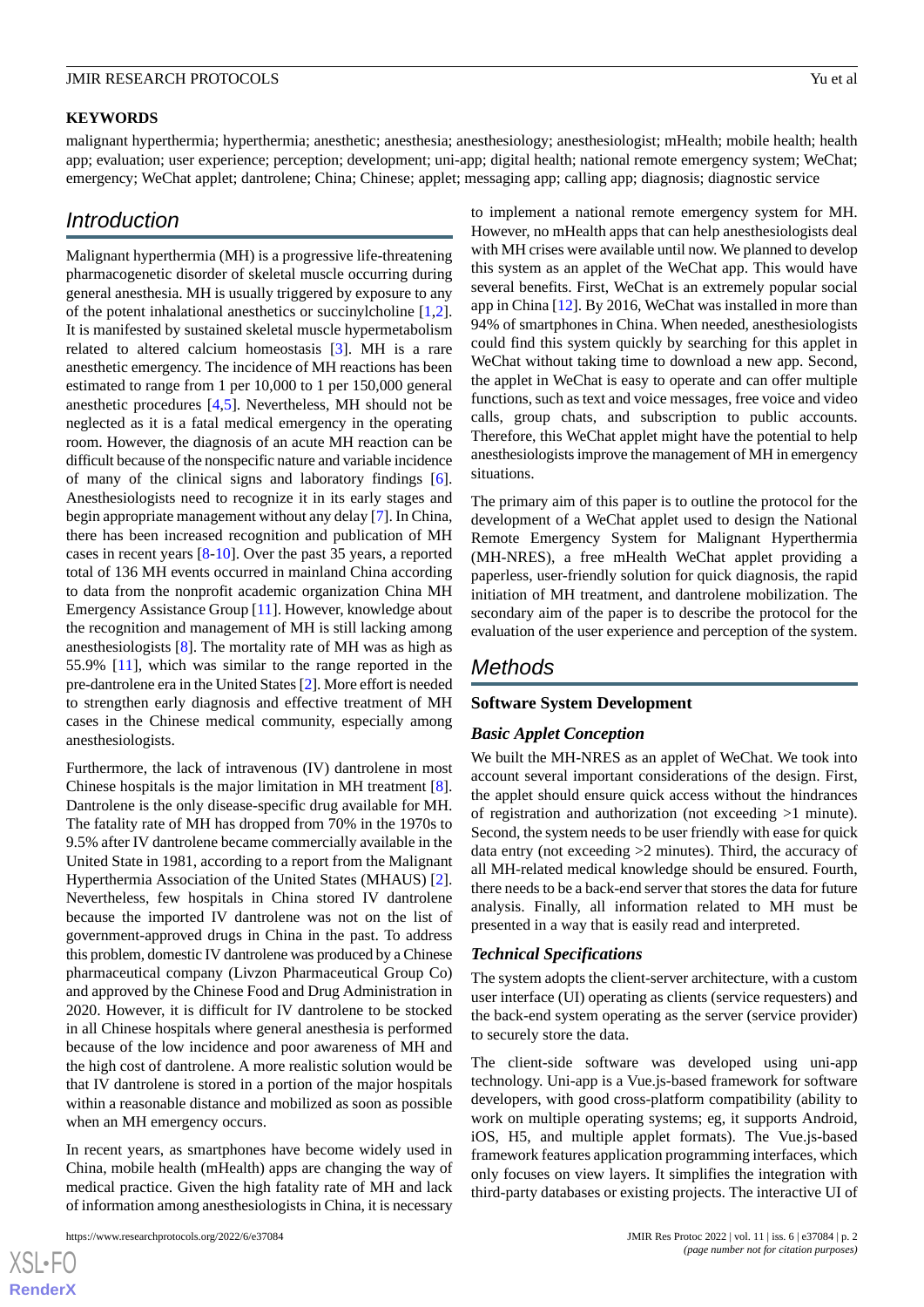#### **KEYWORDS**

malignant hyperthermia; hyperthermia; anesthetic; anesthesia; anesthesiology; anesthesiologist; mHealth; mobile health; health app; evaluation; user experience; perception; development; uni-app; digital health; national remote emergency system; WeChat; emergency; WeChat applet; dantrolene; China; Chinese; applet; messaging app; calling app; diagnosis; diagnostic service

# *Introduction*

Malignant hyperthermia (MH) is a progressive life-threatening pharmacogenetic disorder of skeletal muscle occurring during general anesthesia. MH is usually triggered by exposure to any of the potent inhalational anesthetics or succinylcholine [\[1](#page-6-0),[2\]](#page-6-1). It is manifested by sustained skeletal muscle hypermetabolism related to altered calcium homeostasis [\[3](#page-6-2)]. MH is a rare anesthetic emergency. The incidence of MH reactions has been estimated to range from 1 per 10,000 to 1 per 150,000 general anesthetic procedures [[4](#page-6-3)[,5](#page-6-4)]. Nevertheless, MH should not be neglected as it is a fatal medical emergency in the operating room. However, the diagnosis of an acute MH reaction can be difficult because of the nonspecific nature and variable incidence of many of the clinical signs and laboratory findings [[6\]](#page-6-5). Anesthesiologists need to recognize it in its early stages and begin appropriate management without any delay [\[7](#page-6-6)]. In China, there has been increased recognition and publication of MH cases in recent years [\[8](#page-6-7)-[10\]](#page-6-8). Over the past 35 years, a reported total of 136 MH events occurred in mainland China according to data from the nonprofit academic organization China MH Emergency Assistance Group [[11\]](#page-7-0). However, knowledge about the recognition and management of MH is still lacking among anesthesiologists [\[8](#page-6-7)]. The mortality rate of MH was as high as 55.9% [[11\]](#page-7-0), which was similar to the range reported in the pre-dantrolene era in the United States [\[2](#page-6-1)]. More effort is needed to strengthen early diagnosis and effective treatment of MH cases in the Chinese medical community, especially among anesthesiologists.

Furthermore, the lack of intravenous (IV) dantrolene in most Chinese hospitals is the major limitation in MH treatment [[8\]](#page-6-7). Dantrolene is the only disease-specific drug available for MH. The fatality rate of MH has dropped from 70% in the 1970s to 9.5% after IV dantrolene became commercially available in the United State in 1981, according to a report from the Malignant Hyperthermia Association of the United States (MHAUS) [[2\]](#page-6-1). Nevertheless, few hospitals in China stored IV dantrolene because the imported IV dantrolene was not on the list of government-approved drugs in China in the past. To address this problem, domestic IV dantrolene was produced by a Chinese pharmaceutical company (Livzon Pharmaceutical Group Co) and approved by the Chinese Food and Drug Administration in 2020. However, it is difficult for IV dantrolene to be stocked in all Chinese hospitals where general anesthesia is performed because of the low incidence and poor awareness of MH and the high cost of dantrolene. A more realistic solution would be that IV dantrolene is stored in a portion of the major hospitals within a reasonable distance and mobilized as soon as possible when an MH emergency occurs.

In recent years, as smartphones have become widely used in China, mobile health (mHealth) apps are changing the way of medical practice. Given the high fatality rate of MH and lack of information among anesthesiologists in China, it is necessary

to implement a national remote emergency system for MH. However, no mHealth apps that can help anesthesiologists deal with MH crises were available until now. We planned to develop this system as an applet of the WeChat app. This would have several benefits. First, WeChat is an extremely popular social app in China [\[12](#page-7-1)]. By 2016, WeChat was installed in more than 94% of smartphones in China. When needed, anesthesiologists could find this system quickly by searching for this applet in WeChat without taking time to download a new app. Second, the applet in WeChat is easy to operate and can offer multiple functions, such as text and voice messages, free voice and video calls, group chats, and subscription to public accounts. Therefore, this WeChat applet might have the potential to help anesthesiologists improve the management of MH in emergency situations.

The primary aim of this paper is to outline the protocol for the development of a WeChat applet used to design the National Remote Emergency System for Malignant Hyperthermia (MH-NRES), a free mHealth WeChat applet providing a paperless, user-friendly solution for quick diagnosis, the rapid initiation of MH treatment, and dantrolene mobilization. The secondary aim of the paper is to describe the protocol for the evaluation of the user experience and perception of the system.

# *Methods*

#### **Software System Development**

#### *Basic Applet Conception*

We built the MH-NRES as an applet of WeChat. We took into account several important considerations of the design. First, the applet should ensure quick access without the hindrances of registration and authorization (not exceeding >1 minute). Second, the system needs to be user friendly with ease for quick data entry (not exceeding >2 minutes). Third, the accuracy of all MH-related medical knowledge should be ensured. Fourth, there needs to be a back-end server that stores the data for future analysis. Finally, all information related to MH must be presented in a way that is easily read and interpreted.

#### *Technical Specifications*

The system adopts the client-server architecture, with a custom user interface (UI) operating as clients (service requesters) and the back-end system operating as the server (service provider) to securely store the data.

The client-side software was developed using uni-app technology. Uni-app is a Vue.js-based framework for software developers, with good cross-platform compatibility (ability to work on multiple operating systems; eg, it supports Android, iOS, H5, and multiple applet formats). The Vue.js-based framework features application programming interfaces, which only focuses on view layers. It simplifies the integration with third-party databases or existing projects. The interactive UI of

 $XS$ -FO **[RenderX](http://www.renderx.com/)**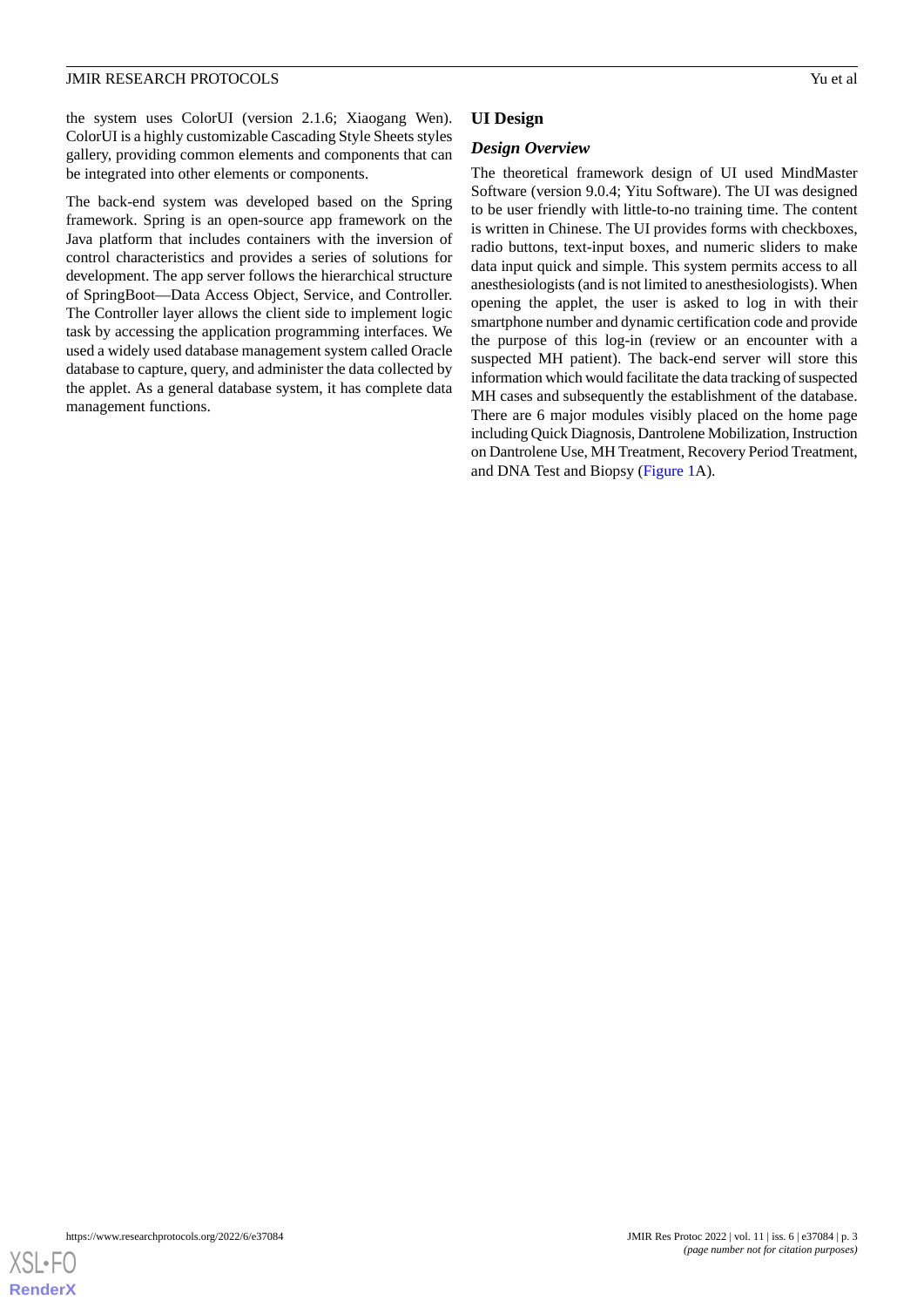the system uses ColorUI (version 2.1.6; Xiaogang Wen). ColorUI is a highly customizable Cascading Style Sheets styles gallery, providing common elements and components that can be integrated into other elements or components.

The back-end system was developed based on the Spring framework. Spring is an open-source app framework on the Java platform that includes containers with the inversion of control characteristics and provides a series of solutions for development. The app server follows the hierarchical structure of SpringBoot—Data Access Object, Service, and Controller. The Controller layer allows the client side to implement logic task by accessing the application programming interfaces. We used a widely used database management system called Oracle database to capture, query, and administer the data collected by the applet. As a general database system, it has complete data management functions.

# **UI Design**

#### *Design Overview*

The theoretical framework design of UI used MindMaster Software (version 9.0.4; Yitu Software). The UI was designed to be user friendly with little-to-no training time. The content is written in Chinese. The UI provides forms with checkboxes, radio buttons, text-input boxes, and numeric sliders to make data input quick and simple. This system permits access to all anesthesiologists (and is not limited to anesthesiologists). When opening the applet, the user is asked to log in with their smartphone number and dynamic certification code and provide the purpose of this log-in (review or an encounter with a suspected MH patient). The back-end server will store this information which would facilitate the data tracking of suspected MH cases and subsequently the establishment of the database. There are 6 major modules visibly placed on the home page including Quick Diagnosis, Dantrolene Mobilization, Instruction on Dantrolene Use, MH Treatment, Recovery Period Treatment, and DNA Test and Biopsy [\(Figure 1](#page-3-0)A).

[XSL](http://www.w3.org/Style/XSL)•FO **[RenderX](http://www.renderx.com/)**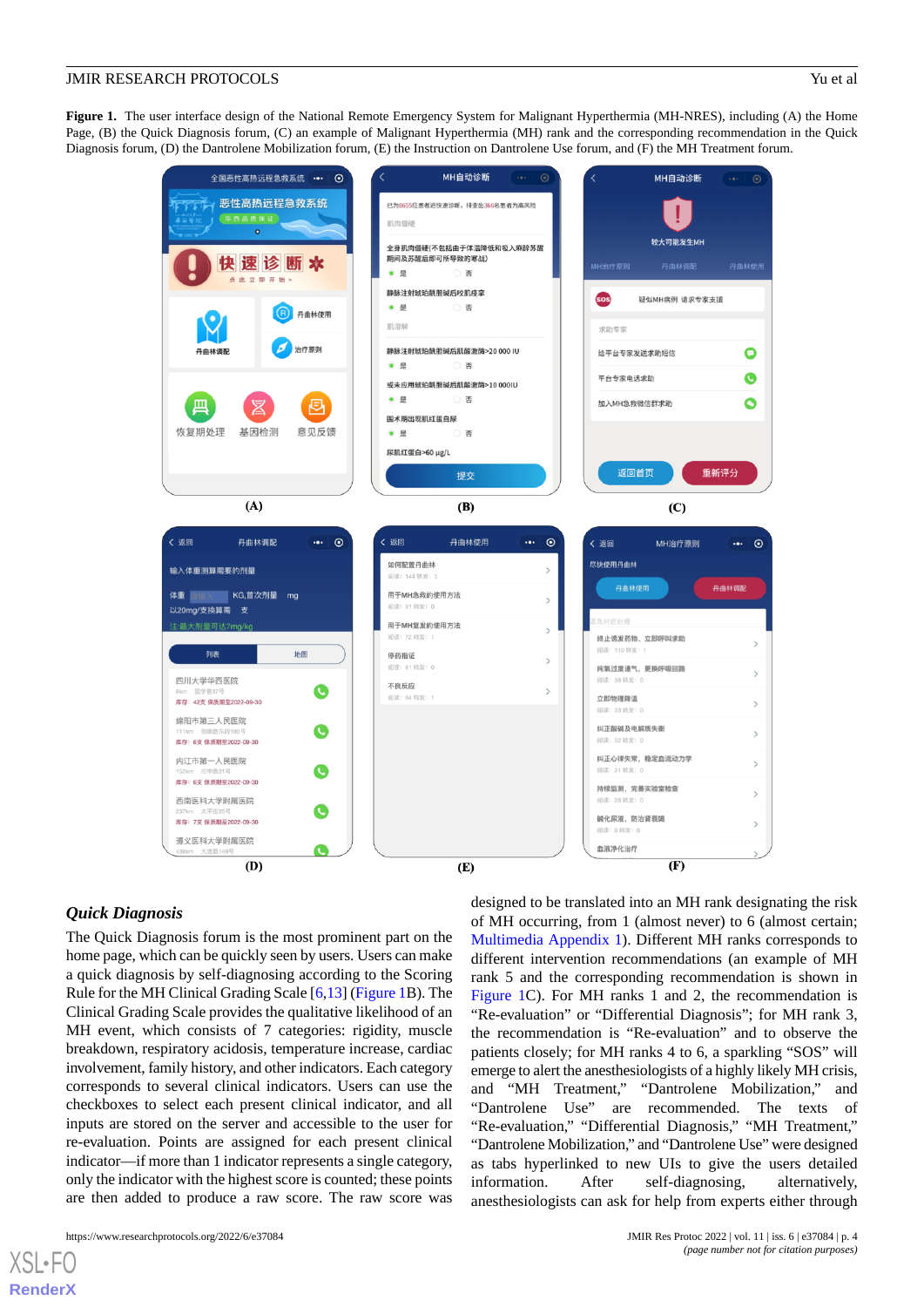<span id="page-3-0"></span>**Figure 1.** The user interface design of the National Remote Emergency System for Malignant Hyperthermia (MH-NRES), including (A) the Home Page, (B) the Quick Diagnosis forum, (C) an example of Malignant Hyperthermia (MH) rank and the corresponding recommendation in the Quick Diagnosis forum, (D) the Dantrolene Mobilization forum, (E) the Instruction on Dantrolene Use forum, and (F) the MH Treatment forum.



#### *Quick Diagnosis*

The Quick Diagnosis forum is the most prominent part on the home page, which can be quickly seen by users. Users can make a quick diagnosis by self-diagnosing according to the Scoring Rule for the MH Clinical Grading Scale [\[6](#page-6-5),[13](#page-7-2)] [\(Figure 1B](#page-3-0)). The Clinical Grading Scale provides the qualitative likelihood of an MH event, which consists of 7 categories: rigidity, muscle breakdown, respiratory acidosis, temperature increase, cardiac involvement, family history, and other indicators. Each category corresponds to several clinical indicators. Users can use the checkboxes to select each present clinical indicator, and all inputs are stored on the server and accessible to the user for re-evaluation. Points are assigned for each present clinical indicator—if more than 1 indicator represents a single category, only the indicator with the highest score is counted; these points are then added to produce a raw score. The raw score was

 $X$ SL•F $C$ **[RenderX](http://www.renderx.com/)** designed to be translated into an MH rank designating the risk of MH occurring, from 1 (almost never) to 6 (almost certain; [Multimedia Appendix 1](#page-6-9)). Different MH ranks corresponds to different intervention recommendations (an example of MH rank 5 and the corresponding recommendation is shown in [Figure 1C](#page-3-0)). For MH ranks 1 and 2, the recommendation is "Re-evaluation" or "Differential Diagnosis"; for MH rank 3, the recommendation is "Re-evaluation" and to observe the patients closely; for MH ranks 4 to 6, a sparkling "SOS" will emerge to alert the anesthesiologists of a highly likely MH crisis, and "MH Treatment," "Dantrolene Mobilization," and "Dantrolene Use" are recommended. The texts of "Re-evaluation," "Differential Diagnosis," "MH Treatment," "Dantrolene Mobilization," and "Dantrolene Use" were designed as tabs hyperlinked to new UIs to give the users detailed information. After self-diagnosing, alternatively, anesthesiologists can ask for help from experts either through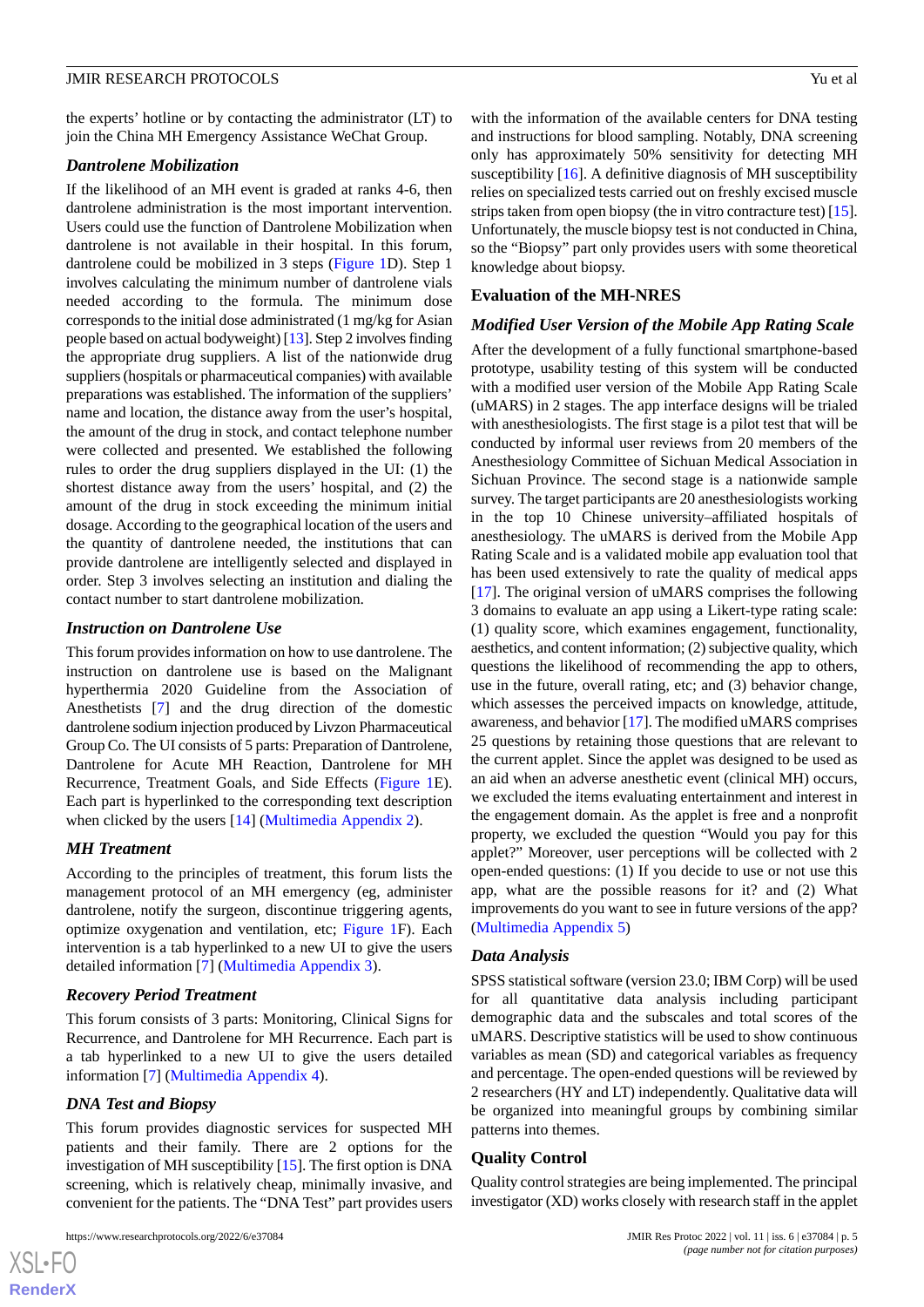the experts' hotline or by contacting the administrator (LT) to join the China MH Emergency Assistance WeChat Group.

### *Dantrolene Mobilization*

If the likelihood of an MH event is graded at ranks 4-6, then dantrolene administration is the most important intervention. Users could use the function of Dantrolene Mobilization when dantrolene is not available in their hospital. In this forum, dantrolene could be mobilized in 3 steps [\(Figure 1](#page-3-0)D). Step 1 involves calculating the minimum number of dantrolene vials needed according to the formula. The minimum dose corresponds to the initial dose administrated (1 mg/kg for Asian people based on actual bodyweight) [\[13\]](#page-7-2). Step 2 involves finding the appropriate drug suppliers. A list of the nationwide drug suppliers (hospitals or pharmaceutical companies) with available preparations was established. The information of the suppliers' name and location, the distance away from the user's hospital, the amount of the drug in stock, and contact telephone number were collected and presented. We established the following rules to order the drug suppliers displayed in the UI: (1) the shortest distance away from the users' hospital, and (2) the amount of the drug in stock exceeding the minimum initial dosage. According to the geographical location of the users and the quantity of dantrolene needed, the institutions that can provide dantrolene are intelligently selected and displayed in order. Step 3 involves selecting an institution and dialing the contact number to start dantrolene mobilization.

#### *Instruction on Dantrolene Use*

This forum provides information on how to use dantrolene. The instruction on dantrolene use is based on the Malignant hyperthermia 2020 Guideline from the Association of Anesthetists [\[7](#page-6-6)] and the drug direction of the domestic dantrolene sodium injection produced by Livzon Pharmaceutical Group Co. The UI consists of 5 parts: Preparation of Dantrolene, Dantrolene for Acute MH Reaction, Dantrolene for MH Recurrence, Treatment Goals, and Side Effects ([Figure 1E](#page-3-0)). Each part is hyperlinked to the corresponding text description when clicked by the users [[14\]](#page-7-3) ([Multimedia Appendix 2\)](#page-6-10).

#### *MH Treatment*

According to the principles of treatment, this forum lists the management protocol of an MH emergency (eg, administer dantrolene, notify the surgeon, discontinue triggering agents, optimize oxygenation and ventilation, etc; [Figure 1](#page-3-0)F). Each intervention is a tab hyperlinked to a new UI to give the users detailed information [[7\]](#page-6-6) ([Multimedia Appendix 3](#page-6-11)).

#### *Recovery Period Treatment*

This forum consists of 3 parts: Monitoring, Clinical Signs for Recurrence, and Dantrolene for MH Recurrence. Each part is a tab hyperlinked to a new UI to give the users detailed information [[7\]](#page-6-6) ([Multimedia Appendix 4\)](#page-6-12).

#### *DNA Test and Biopsy*

 $XS$ -FO **[RenderX](http://www.renderx.com/)**

This forum provides diagnostic services for suspected MH patients and their family. There are 2 options for the investigation of MH susceptibility [[15\]](#page-7-4). The first option is DNA screening, which is relatively cheap, minimally invasive, and convenient for the patients. The "DNA Test" part provides users

with the information of the available centers for DNA testing and instructions for blood sampling. Notably, DNA screening only has approximately 50% sensitivity for detecting MH susceptibility [[16\]](#page-7-5). A definitive diagnosis of MH susceptibility relies on specialized tests carried out on freshly excised muscle strips taken from open biopsy (the in vitro contracture test) [\[15](#page-7-4)]. Unfortunately, the muscle biopsy test is not conducted in China, so the "Biopsy" part only provides users with some theoretical knowledge about biopsy.

#### **Evaluation of the MH-NRES**

#### *Modified User Version of the Mobile App Rating Scale*

After the development of a fully functional smartphone-based prototype, usability testing of this system will be conducted with a modified user version of the Mobile App Rating Scale (uMARS) in 2 stages. The app interface designs will be trialed with anesthesiologists. The first stage is a pilot test that will be conducted by informal user reviews from 20 members of the Anesthesiology Committee of Sichuan Medical Association in Sichuan Province. The second stage is a nationwide sample survey. The target participants are 20 anesthesiologists working in the top 10 Chinese university–affiliated hospitals of anesthesiology. The uMARS is derived from the Mobile App Rating Scale and is a validated mobile app evaluation tool that has been used extensively to rate the quality of medical apps [[17\]](#page-7-6). The original version of uMARS comprises the following 3 domains to evaluate an app using a Likert-type rating scale: (1) quality score, which examines engagement, functionality, aesthetics, and content information; (2) subjective quality, which questions the likelihood of recommending the app to others, use in the future, overall rating, etc; and (3) behavior change, which assesses the perceived impacts on knowledge, attitude, awareness, and behavior [[17\]](#page-7-6). The modified uMARS comprises 25 questions by retaining those questions that are relevant to the current applet. Since the applet was designed to be used as an aid when an adverse anesthetic event (clinical MH) occurs, we excluded the items evaluating entertainment and interest in the engagement domain. As the applet is free and a nonprofit property, we excluded the question "Would you pay for this applet?" Moreover, user perceptions will be collected with 2 open-ended questions: (1) If you decide to use or not use this app, what are the possible reasons for it? and (2) What improvements do you want to see in future versions of the app? ([Multimedia Appendix 5](#page-6-13))

#### *Data Analysis*

SPSS statistical software (version 23.0; IBM Corp) will be used for all quantitative data analysis including participant demographic data and the subscales and total scores of the uMARS. Descriptive statistics will be used to show continuous variables as mean (SD) and categorical variables as frequency and percentage. The open-ended questions will be reviewed by 2 researchers (HY and LT) independently. Qualitative data will be organized into meaningful groups by combining similar patterns into themes.

#### **Quality Control**

Quality control strategies are being implemented. The principal investigator (XD) works closely with research staff in the applet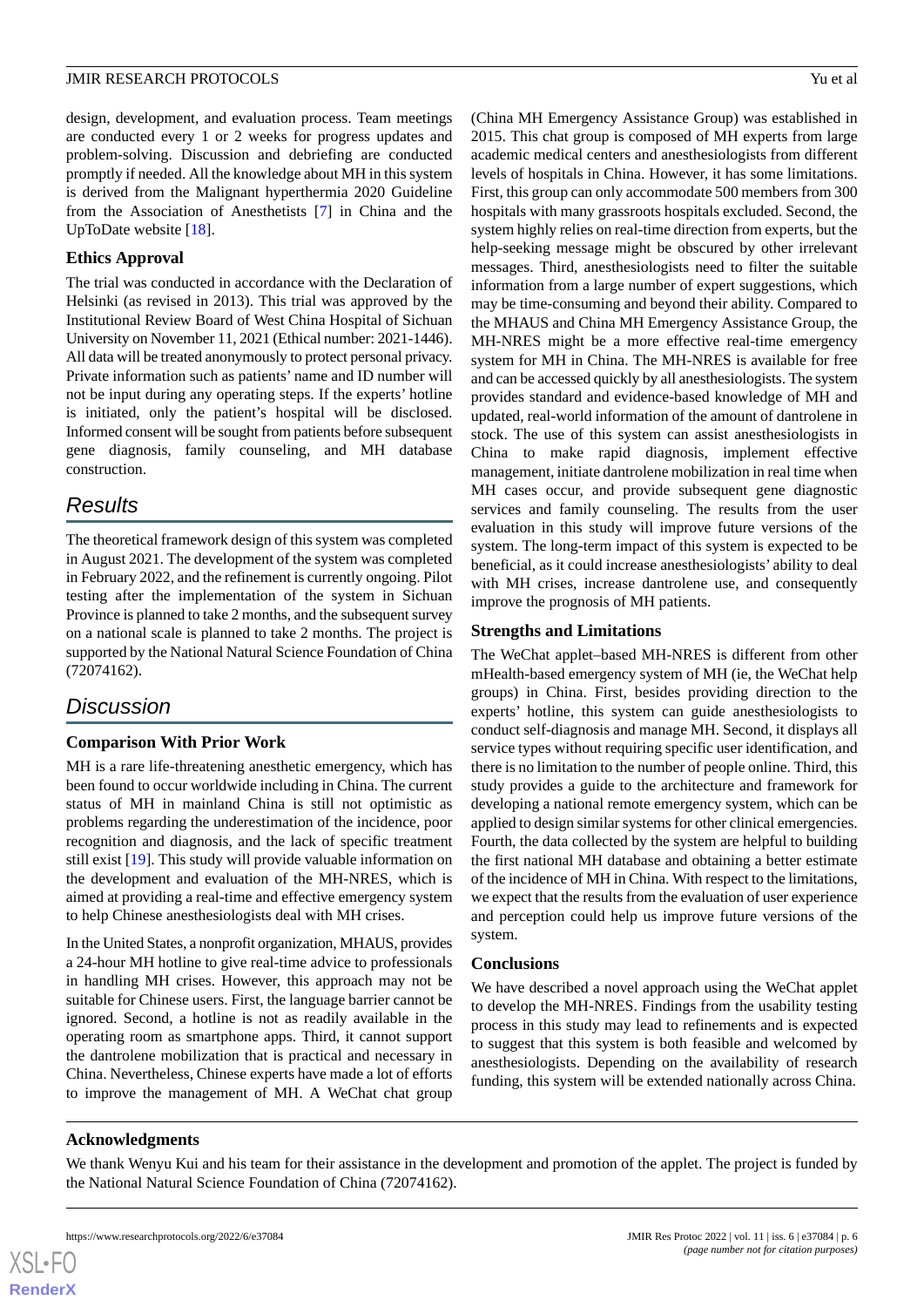design, development, and evaluation process. Team meetings are conducted every 1 or 2 weeks for progress updates and problem-solving. Discussion and debriefing are conducted promptly if needed. All the knowledge about MH in this system is derived from the Malignant hyperthermia 2020 Guideline from the Association of Anesthetists [[7\]](#page-6-6) in China and the UpToDate website [[18\]](#page-7-7).

### **Ethics Approval**

The trial was conducted in accordance with the Declaration of Helsinki (as revised in 2013). This trial was approved by the Institutional Review Board of West China Hospital of Sichuan University on November 11, 2021 (Ethical number: 2021-1446). All data will be treated anonymously to protect personal privacy. Private information such as patients' name and ID number will not be input during any operating steps. If the experts' hotline is initiated, only the patient's hospital will be disclosed. Informed consent will be sought from patients before subsequent gene diagnosis, family counseling, and MH database construction.

# *Results*

The theoretical framework design of this system was completed in August 2021. The development of the system was completed in February 2022, and the refinement is currently ongoing. Pilot testing after the implementation of the system in Sichuan Province is planned to take 2 months, and the subsequent survey on a national scale is planned to take 2 months. The project is supported by the National Natural Science Foundation of China (72074162).

# *Discussion*

### **Comparison With Prior Work**

MH is a rare life-threatening anesthetic emergency, which has been found to occur worldwide including in China. The current status of MH in mainland China is still not optimistic as problems regarding the underestimation of the incidence, poor recognition and diagnosis, and the lack of specific treatment still exist [\[19](#page-7-8)]. This study will provide valuable information on the development and evaluation of the MH-NRES, which is aimed at providing a real-time and effective emergency system to help Chinese anesthesiologists deal with MH crises.

In the United States, a nonprofit organization, MHAUS, provides a 24-hour MH hotline to give real-time advice to professionals in handling MH crises. However, this approach may not be suitable for Chinese users. First, the language barrier cannot be ignored. Second, a hotline is not as readily available in the operating room as smartphone apps. Third, it cannot support the dantrolene mobilization that is practical and necessary in China. Nevertheless, Chinese experts have made a lot of efforts to improve the management of MH. A WeChat chat group

(China MH Emergency Assistance Group) was established in 2015. This chat group is composed of MH experts from large academic medical centers and anesthesiologists from different levels of hospitals in China. However, it has some limitations. First, this group can only accommodate 500 members from 300 hospitals with many grassroots hospitals excluded. Second, the system highly relies on real-time direction from experts, but the help-seeking message might be obscured by other irrelevant messages. Third, anesthesiologists need to filter the suitable information from a large number of expert suggestions, which may be time-consuming and beyond their ability. Compared to the MHAUS and China MH Emergency Assistance Group, the MH-NRES might be a more effective real-time emergency system for MH in China. The MH-NRES is available for free and can be accessed quickly by all anesthesiologists. The system provides standard and evidence-based knowledge of MH and updated, real-world information of the amount of dantrolene in stock. The use of this system can assist anesthesiologists in China to make rapid diagnosis, implement effective management, initiate dantrolene mobilization in real time when MH cases occur, and provide subsequent gene diagnostic services and family counseling. The results from the user evaluation in this study will improve future versions of the system. The long-term impact of this system is expected to be beneficial, as it could increase anesthesiologists' ability to deal with MH crises, increase dantrolene use, and consequently improve the prognosis of MH patients.

### **Strengths and Limitations**

The WeChat applet–based MH-NRES is different from other mHealth-based emergency system of MH (ie, the WeChat help groups) in China. First, besides providing direction to the experts' hotline, this system can guide anesthesiologists to conduct self-diagnosis and manage MH. Second, it displays all service types without requiring specific user identification, and there is no limitation to the number of people online. Third, this study provides a guide to the architecture and framework for developing a national remote emergency system, which can be applied to design similar systems for other clinical emergencies. Fourth, the data collected by the system are helpful to building the first national MH database and obtaining a better estimate of the incidence of MH in China. With respect to the limitations, we expect that the results from the evaluation of user experience and perception could help us improve future versions of the system.

#### **Conclusions**

We have described a novel approach using the WeChat applet to develop the MH-NRES. Findings from the usability testing process in this study may lead to refinements and is expected to suggest that this system is both feasible and welcomed by anesthesiologists. Depending on the availability of research funding, this system will be extended nationally across China.

#### **Acknowledgments**

We thank Wenyu Kui and his team for their assistance in the development and promotion of the applet. The project is funded by the National Natural Science Foundation of China (72074162).

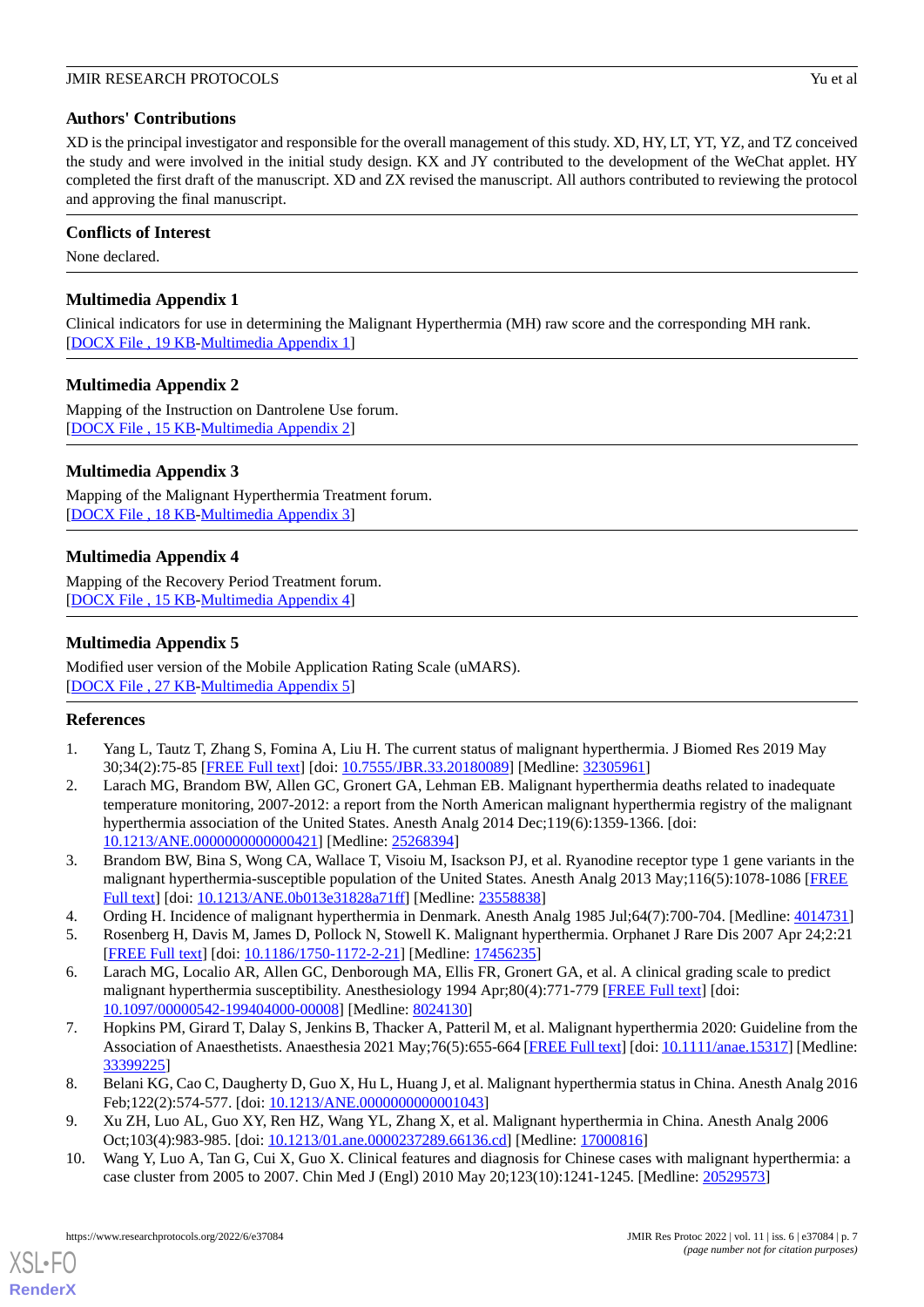## **Authors' Contributions**

XD is the principal investigator and responsible for the overall management of this study. XD, HY, LT, YT, YZ, and TZ conceived the study and were involved in the initial study design. KX and JY contributed to the development of the WeChat applet. HY completed the first draft of the manuscript. XD and ZX revised the manuscript. All authors contributed to reviewing the protocol and approving the final manuscript.

# **Conflicts of Interest**

<span id="page-6-9"></span>None declared.

# **Multimedia Appendix 1**

<span id="page-6-10"></span>Clinical indicators for use in determining the Malignant Hyperthermia (MH) raw score and the corresponding MH rank. [[DOCX File , 19 KB](https://jmir.org/api/download?alt_name=resprot_v11i6e37084_app1.docx&filename=e86f0f0dc06332316d296e862c3fd02f.docx)-[Multimedia Appendix 1\]](https://jmir.org/api/download?alt_name=resprot_v11i6e37084_app1.docx&filename=e86f0f0dc06332316d296e862c3fd02f.docx)

# **Multimedia Appendix 2**

<span id="page-6-11"></span>Mapping of the Instruction on Dantrolene Use forum. [[DOCX File , 15 KB](https://jmir.org/api/download?alt_name=resprot_v11i6e37084_app2.docx&filename=1547714122f62cfe8f9e49d1e305926d.docx)-[Multimedia Appendix 2\]](https://jmir.org/api/download?alt_name=resprot_v11i6e37084_app2.docx&filename=1547714122f62cfe8f9e49d1e305926d.docx)

# **Multimedia Appendix 3**

<span id="page-6-12"></span>Mapping of the Malignant Hyperthermia Treatment forum. [[DOCX File , 18 KB](https://jmir.org/api/download?alt_name=resprot_v11i6e37084_app3.docx&filename=b55064e9523d08b74319cf711ac6f343.docx)-[Multimedia Appendix 3\]](https://jmir.org/api/download?alt_name=resprot_v11i6e37084_app3.docx&filename=b55064e9523d08b74319cf711ac6f343.docx)

# **Multimedia Appendix 4**

<span id="page-6-13"></span>Mapping of the Recovery Period Treatment forum. [[DOCX File , 15 KB](https://jmir.org/api/download?alt_name=resprot_v11i6e37084_app4.docx&filename=bbf05c8c193b363c66ec7378e8396c09.docx)-[Multimedia Appendix 4\]](https://jmir.org/api/download?alt_name=resprot_v11i6e37084_app4.docx&filename=bbf05c8c193b363c66ec7378e8396c09.docx)

# **Multimedia Appendix 5**

<span id="page-6-0"></span>Modified user version of the Mobile Application Rating Scale (uMARS). [[DOCX File , 27 KB](https://jmir.org/api/download?alt_name=resprot_v11i6e37084_app5.docx&filename=191103668a2463006e0fc2b129113654.docx)-[Multimedia Appendix 5\]](https://jmir.org/api/download?alt_name=resprot_v11i6e37084_app5.docx&filename=191103668a2463006e0fc2b129113654.docx)

### <span id="page-6-1"></span>**References**

- 1. Yang L, Tautz T, Zhang S, Fomina A, Liu H. The current status of malignant hyperthermia. J Biomed Res 2019 May 30;34(2):75-85 [[FREE Full text](https://doi.org/10.7555/JBR.33.20180089)] [doi: [10.7555/JBR.33.20180089](http://dx.doi.org/10.7555/JBR.33.20180089)] [Medline: [32305961\]](http://www.ncbi.nlm.nih.gov/entrez/query.fcgi?cmd=Retrieve&db=PubMed&list_uids=32305961&dopt=Abstract)
- <span id="page-6-2"></span>2. Larach MG, Brandom BW, Allen GC, Gronert GA, Lehman EB. Malignant hyperthermia deaths related to inadequate temperature monitoring, 2007-2012: a report from the North American malignant hyperthermia registry of the malignant hyperthermia association of the United States. Anesth Analg 2014 Dec;119(6):1359-1366. [doi: [10.1213/ANE.0000000000000421\]](http://dx.doi.org/10.1213/ANE.0000000000000421) [Medline: [25268394\]](http://www.ncbi.nlm.nih.gov/entrez/query.fcgi?cmd=Retrieve&db=PubMed&list_uids=25268394&dopt=Abstract)
- <span id="page-6-5"></span><span id="page-6-4"></span><span id="page-6-3"></span>3. Brandom BW, Bina S, Wong CA, Wallace T, Visoiu M, Isackson PJ, et al. Ryanodine receptor type 1 gene variants in the malignant hyperthermia-susceptible population of the United States. Anesth Analg 2013 May;116(5):1078-1086 [[FREE](http://europepmc.org/abstract/MED/23558838) [Full text\]](http://europepmc.org/abstract/MED/23558838) [doi: [10.1213/ANE.0b013e31828a71ff\]](http://dx.doi.org/10.1213/ANE.0b013e31828a71ff) [Medline: [23558838\]](http://www.ncbi.nlm.nih.gov/entrez/query.fcgi?cmd=Retrieve&db=PubMed&list_uids=23558838&dopt=Abstract)
- 4. Ording H. Incidence of malignant hyperthermia in Denmark. Anesth Analg 1985 Jul;64(7):700-704. [Medline: [4014731\]](http://www.ncbi.nlm.nih.gov/entrez/query.fcgi?cmd=Retrieve&db=PubMed&list_uids=4014731&dopt=Abstract)
- <span id="page-6-6"></span>5. Rosenberg H, Davis M, James D, Pollock N, Stowell K. Malignant hyperthermia. Orphanet J Rare Dis 2007 Apr 24;2:21 [[FREE Full text](https://ojrd.biomedcentral.com/articles/10.1186/1750-1172-2-21)] [doi: [10.1186/1750-1172-2-21\]](http://dx.doi.org/10.1186/1750-1172-2-21) [Medline: [17456235\]](http://www.ncbi.nlm.nih.gov/entrez/query.fcgi?cmd=Retrieve&db=PubMed&list_uids=17456235&dopt=Abstract)
- <span id="page-6-7"></span>6. Larach MG, Localio AR, Allen GC, Denborough MA, Ellis FR, Gronert GA, et al. A clinical grading scale to predict malignant hyperthermia susceptibility. Anesthesiology 1994 Apr;80(4):771-779 [[FREE Full text](https://pubs.asahq.org/anesthesiology/article-lookup/doi/10.1097/00000542-199404000-00008)] [doi: [10.1097/00000542-199404000-00008](http://dx.doi.org/10.1097/00000542-199404000-00008)] [Medline: [8024130](http://www.ncbi.nlm.nih.gov/entrez/query.fcgi?cmd=Retrieve&db=PubMed&list_uids=8024130&dopt=Abstract)]
- <span id="page-6-8"></span>7. Hopkins PM, Girard T, Dalay S, Jenkins B, Thacker A, Patteril M, et al. Malignant hyperthermia 2020: Guideline from the Association of Anaesthetists. Anaesthesia 2021 May;76(5):655-664 [[FREE Full text](https://doi.org/10.1111/anae.15317)] [doi: [10.1111/anae.15317\]](http://dx.doi.org/10.1111/anae.15317) [Medline: [33399225](http://www.ncbi.nlm.nih.gov/entrez/query.fcgi?cmd=Retrieve&db=PubMed&list_uids=33399225&dopt=Abstract)]
- 8. Belani KG, Cao C, Daugherty D, Guo X, Hu L, Huang J, et al. Malignant hyperthermia status in China. Anesth Analg 2016 Feb;122(2):574-577. [doi: [10.1213/ANE.0000000000001043\]](http://dx.doi.org/10.1213/ANE.0000000000001043)
- 9. Xu ZH, Luo AL, Guo XY, Ren HZ, Wang YL, Zhang X, et al. Malignant hyperthermia in China. Anesth Analg 2006 Oct;103(4):983-985. [doi: [10.1213/01.ane.0000237289.66136.cd](http://dx.doi.org/10.1213/01.ane.0000237289.66136.cd)] [Medline: [17000816](http://www.ncbi.nlm.nih.gov/entrez/query.fcgi?cmd=Retrieve&db=PubMed&list_uids=17000816&dopt=Abstract)]
- 10. Wang Y, Luo A, Tan G, Cui X, Guo X. Clinical features and diagnosis for Chinese cases with malignant hyperthermia: a case cluster from 2005 to 2007. Chin Med J (Engl) 2010 May 20;123(10):1241-1245. [Medline: [20529573](http://www.ncbi.nlm.nih.gov/entrez/query.fcgi?cmd=Retrieve&db=PubMed&list_uids=20529573&dopt=Abstract)]

[XSL](http://www.w3.org/Style/XSL)•FO **[RenderX](http://www.renderx.com/)**